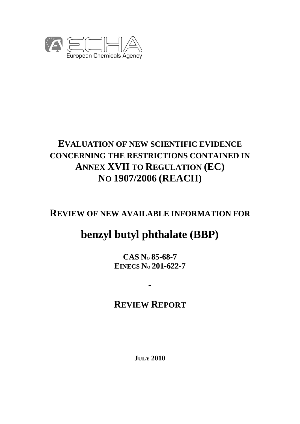

# **EVALUATION OF NEW SCIENTIFIC EVIDENCE CONCERNING THE RESTRICTIONS CONTAINED IN ANNEX XVII TO REGULATION (EC) NO 1907/2006 (REACH)**

# **REVIEW OF NEW AVAILABLE INFORMATION FOR**

# **benzyl butyl phthalate (BBP)**

**CAS NO 85-68-7 EINECS NO 201-622-7** 

# **REVIEW REPORT**

**-** 

**JULY 2010**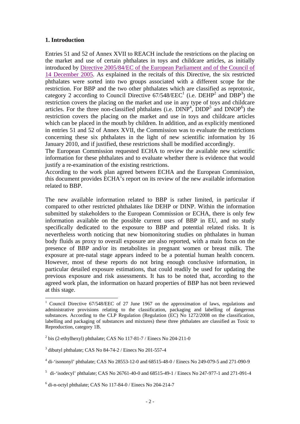#### **1. Introduction**

Entries 51 and 52 of Annex XVII to REACH include the restrictions on the placing on the market and use of certain phthalates in toys and childcare articles, as initially [introduced by Directive 2005/84/EC of the European Parliament and of the Council of](http://eur-lex.europa.eu/LexUriServ/LexUriServ.do?uri=OJ:L:2005:344:0040:0043:EN:PDF)  14 December 2005. As explained in the recitals of this Directive, the six restricted phthalates were sorted into two groups associated with a different scope for the restriction. For BBP and the two other phthalates which are classified as reprotoxic, category 2 according to Council Directive  $67/548/EEC<sup>1</sup>$  (i.e. DEHP<sup>2</sup> and DBP<sup>3</sup>) the restriction covers the placing on the market and use in any type of toys and childcare articles. For the three non-classified phthalates (i.e.  $DINP<sup>4</sup>$ ,  $DIDP<sup>5</sup>$  and  $DNOP<sup>6</sup>$ ) the restriction covers the placing on the market and use in toys and childcare articles which can be placed in the mouth by children. In addition, and as explicitly mentioned in entries 51 and 52 of Annex XVII, the Commission was to evaluate the restrictions concerning these six phthalates in the light of new scientific information by 16 January 2010, and if justified, these restrictions shall be modified accordingly.

The European Commission requested ECHA to review the available new scientific information for these phthalates and to evaluate whether there is evidence that would justify a re-examination of the existing restrictions.

According to the work plan agreed between ECHA and the European Commission, this document provides ECHA's report on its review of the new available information related to BBP.

The new available information related to BBP is rather limited, in particular if compared to other restricted phthalates like DEHP or DINP. Within the information submitted by stakeholders to the European Commission or ECHA, there is only few information available on the possible current uses of BBP in EU, and no study specifically dedicated to the exposure to BBP and potential related risks. It is nevertheless worth noticing that new biomonitoring studies on phthalates in human body fluids as proxy to overall exposure are also reported, with a main focus on the presence of BBP and/or its metabolites in pregnant women or breast milk. The exposure at pre-natal stage appears indeed to be a potential human health concern. However, most of these reports do not bring enough conclusive information, in particular detailed exposure estimations, that could readily be used for updating the previous exposure and risk assessments. It has to be noted that, according to the agreed work plan, the information on hazard properties of BBP has not been reviewed at this stage.

 $\overline{a}$ 

<sup>&</sup>lt;sup>1</sup> Council Directive 67/548/EEC of 27 June 1967 on the approximation of laws, regulations and administrative provisions relating to the classification, packaging and labelling of dangerous substances. According to the CLP Regulation (Regulation (EC) No 1272/2008 on the classification, labelling and packaging of substances and mixtures) these three phthalates are classified as Toxic to Reproduction, category 1B.

 $2^{2}$  bis (2-ethylhexyl) phthalate; CAS No 117-81-7 / Einecs No 204-211-0

 $3$  dibutyl phthalate; CAS No 84-74-2 / Einecs No 201-557-4

<sup>&</sup>lt;sup>4</sup> di-'isononyl' phthalate; CAS No 28553-12-0 and 68515-48-0 / Einecs No 249-079-5 and 271-090-9

<sup>&</sup>lt;sup>5</sup> di-'isodecyl' phthalate; CAS No 26761-40-0 and 68515-49-1 / Einecs No 247-977-1 and 271-091-4

<sup>6</sup> di-n-octyl phthalate; CAS No 117-84-0 / Einecs No 204-214-7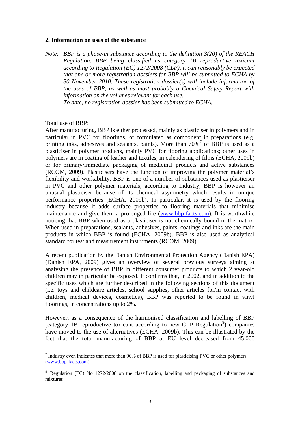#### **2. Information on uses of the substance**

*Note: BBP is a phase-in substance according to the definition 3(20) of the REACH Regulation. BBP being classified as category 1B reproductive toxicant according to Regulation (EC) 1272/2008 (CLP), it can reasonably be expected that one or more registration dossiers for BBP will be submitted to ECHA by 30 November 2010. These registration dossier(s) will include information of the uses of BBP, as well as most probably a Chemical Safety Report with information on the volumes relevant for each use. To date, no registration dossier has been submitted to ECHA.* 

#### Total use of BBP:

 $\overline{a}$ 

After manufacturing, BBP is either processed, mainly as plasticiser in polymers and in particular in PVC for floorings, or formulated as component in preparations (e.g. printing inks, adhesives and sealants, paints). More than  $70\%$ <sup>7</sup> of BBP is used as a plasticiser in polymer products, mainly PVC for flooring applications; other uses in polymers are in coating of leather and textiles, in calendering of films (ECHA, 2009b) or for primary/immediate packaging of medicinal products and active substances (RCOM, 2009). Plasticisers have the function of improving the polymer material's flexibility and workability. BBP is one of a number of substances used as plasticiser in PVC and other polymer materials; according to Industry, BBP is however an unusual plasticiser because of its chemical asymmetry which results in unique performance properties (ECHA, 2009b). In particular, it is used by the flooring industry because it adds surface properties to flooring materials that minimise maintenance and give them a prolonged life (www.bbp-facts.com). It is worthwhile noticing that BBP when used as a plasticiser is not chemically bound in the matrix. When used in preparations, sealants, adhesives, paints, coatings and inks are the main products in which BBP is found (ECHA, 2009b). BBP is also used as analytical standard for test and measurement instruments (RCOM, 2009).

A recent publication by the Danish Environmental Protection Agency (Danish EPA) (Danish EPA, 2009) gives an overview of several previous surveys aiming at analysing the presence of BBP in different consumer products to which 2 year-old children may in particular be exposed. It confirms that, in 2002, and in addition to the specific uses which are further described in the following sections of this document (i.e. toys and childcare articles, school supplies, other articles for/in contact with children, medical devices, cosmetics), BBP was reported to be found in vinyl floorings, in concentrations up to 2%.

However, as a consequence of the harmonised classification and labelling of BBP (category 1B reproductive toxicant according to new CLP Regulation<sup>8</sup>) companies have moved to the use of alternatives (ECHA, 2009b). This can be illustrated by the fact that the total manufacturing of BBP at EU level decreased from 45,000

 $<sup>7</sup>$  Industry even indicates that more than 90% of BBP is used for plasticising PVC or other polymers</sup> (www.bbp-facts.com)

<sup>&</sup>lt;sup>8</sup> Regulation (EC) No 1272/2008 on the classification, labelling and packaging of substances and mixtures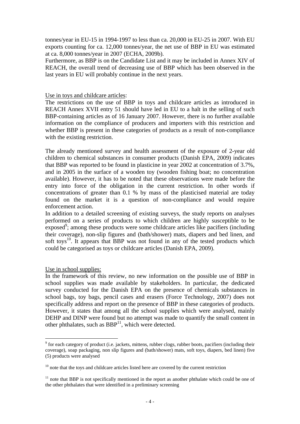tonnes/year in EU-15 in 1994-1997 to less than ca. 20,000 in EU-25 in 2007. With EU exports counting for ca. 12,000 tonnes/year, the net use of BBP in EU was estimated at ca. 8,000 tonnes/year in 2007 (ECHA, 2009b).

Furthermore, as BBP is on the Candidate List and it may be included in Annex XIV of REACH, the overall trend of decreasing use of BBP which has been observed in the last years in EU will probably continue in the next years.

#### Use in toys and childcare articles:

The restrictions on the use of BBP in toys and childcare articles as introduced in REACH Annex XVII entry 51 should have led in EU to a halt in the selling of such BBP-containing articles as of 16 January 2007. However, there is no further available information on the compliance of producers and importers with this restriction and whether BBP is present in these categories of products as a result of non-compliance with the existing restriction.

The already mentioned survey and health assessment of the exposure of 2-year old children to chemical substances in consumer products (Danish EPA, 2009) indicates that BBP was reported to be found in plasticine in year 2002 at concentration of 3.7%, and in 2005 in the surface of a wooden toy (wooden fishing boat; no concentration available). However, it has to be noted that these observations were made before the entry into force of the obligation in the current restriction. In other words if concentrations of greater than 0.1 % by mass of the plasticised material are today found on the market it is a question of non-compliance and would require enforcement action.

In addition to a detailed screening of existing surveys, the study reports on analyses performed on a series of products to which children are highly susceptible to be exposed<sup>9</sup>; among these products were some childcare articles like pacifiers (including their coverage), non-slip figures and (bath/shower) mats, diapers and bed linen, and soft toys $^{10}$ . It appears that BBP was not found in any of the tested products which could be categorised as toys or childcare articles (Danish EPA, 2009).

#### Use in school supplies:

 $\overline{a}$ 

In the framework of this review, no new information on the possible use of BBP in school supplies was made available by stakeholders. In particular, the dedicated survey conducted for the Danish EPA on the presence of chemicals substances in school bags, toy bags, pencil cases and erasers (Force Technology, 2007) does not specifically address and report on the presence of BBP in these categories of products. However, it states that among all the school supplies which were analysed, mainly DEHP and DINP were found but no attempt was made to quantify the small content in other phthalates, such as  $BBP<sup>11</sup>$ , which were detected.

<sup>&</sup>lt;sup>9</sup> for each category of product (i.e. jackets, mittens, rubber clogs, rubber boots, pacifiers (including their coverage), soap packaging, non slip figures and (bath/shower) mats, soft toys, diapers, bed linen) five (5) products were analysed

 $10$  note that the toys and childcare articles listed here are covered by the current restriction

 $11$  note that BBP is not specifically mentioned in the report as another phthalate which could be one of the other phthalates that were identified in a preliminary screening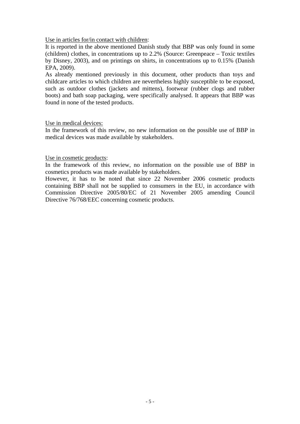Use in articles for/in contact with children:

It is reported in the above mentioned Danish study that BBP was only found in some (children) clothes, in concentrations up to 2.2% (Source: Greenpeace – Toxic textiles by Disney, 2003), and on printings on shirts, in concentrations up to 0.15% (Danish EPA, 2009).

As already mentioned previously in this document, other products than toys and childcare articles to which children are nevertheless highly susceptible to be exposed, such as outdoor clothes (jackets and mittens), footwear (rubber clogs and rubber boots) and bath soap packaging, were specifically analysed. It appears that BBP was found in none of the tested products.

#### Use in medical devices:

In the framework of this review, no new information on the possible use of BBP in medical devices was made available by stakeholders.

### Use in cosmetic products:

In the framework of this review, no information on the possible use of BBP in cosmetics products was made available by stakeholders.

However, it has to be noted that since 22 November 2006 cosmetic products containing BBP shall not be supplied to consumers in the EU, in accordance with Commission Directive 2005/80/EC of 21 November 2005 amending Council Directive 76/768/EEC concerning cosmetic products.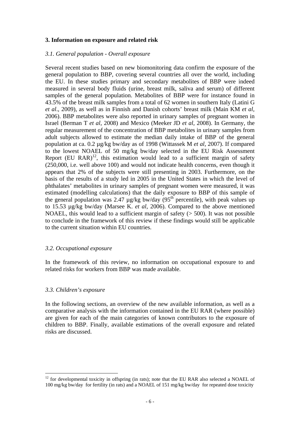#### **3. Information on exposure and related risk**

#### *3.1. General population - Overall exposure*

Several recent studies based on new biomonitoring data confirm the exposure of the general population to BBP, covering several countries all over the world, including the EU. In these studies primary and secondary metabolites of BBP were indeed measured in several body fluids (urine, breast milk, saliva and serum) of different samples of the general population. Metabolites of BBP were for instance found in 43.5% of the breast milk samples from a total of 62 women in southern Italy (Latini G *et al*., 2009), as well as in Finnish and Danish cohorts' breast milk (Main KM *et al*, 2006). BBP metabolites were also reported in urinary samples of pregnant women in Israel (Berman T *et al*, 2008) and Mexico (Meeker JD *et al*, 2008). In Germany, the regular measurement of the concentration of BBP metabolites in urinary samples from adult subjects allowed to estimate the median daily intake of BBP of the general population at ca. 0.2 µg/kg bw/day as of 1998 (Wittassek M *et al*, 2007). If compared to the lowest NOAEL of 50 mg/kg bw/day selected in the EU Risk Assessment Report (EU RAR)<sup>12</sup>, this estimation would lead to a sufficient margin of safety (250,000, i.e. well above 100) and would not indicate health concerns, even though it appears that 2% of the subjects were still presenting in 2003. Furthermore, on the basis of the results of a study led in 2005 in the United States in which the level of phthalates' metabolites in urinary samples of pregnant women were measured, it was estimated (modelling calculations) that the daily exposure to BBP of this sample of the general population was  $2.47 \mu g/kg$  bw/day ( $95<sup>th</sup>$  percentile), with peak values up to 15.53 µg/kg bw/day (Marsee K. *et al*, 2006). Compared to the above mentioned NOAEL, this would lead to a sufficient margin of safety  $($  > 500). It was not possible to conclude in the framework of this review if these findings would still be applicable to the current situation within EU countries.

#### *3.2. Occupational exposure*

In the framework of this review, no information on occupational exposure to and related risks for workers from BBP was made available.

#### *3.3. Children's exposure*

 $\overline{a}$ 

In the following sections, an overview of the new available information, as well as a comparative analysis with the information contained in the EU RAR (where possible) are given for each of the main categories of known contributors to the exposure of children to BBP. Finally, available estimations of the overall exposure and related risks are discussed.

 $12$  for developmental toxicity in offspring (in rats); note that the EU RAR also selected a NOAEL of 100 mg/kg bw/day for fertility (in rats) and a NOAEL of 151 mg/kg bw/day for repeated dose toxicity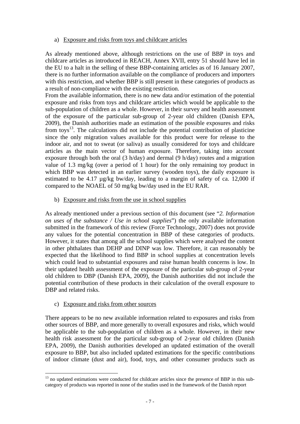#### a) Exposure and risks from toys and childcare articles

As already mentioned above, although restrictions on the use of BBP in toys and childcare articles as introduced in REACH, Annex XVII, entry 51 should have led in the EU to a halt in the selling of these BBP-containing articles as of 16 January 2007, there is no further information available on the compliance of producers and importers with this restriction, and whether BBP is still present in these categories of products as a result of non-compliance with the existing restriction.

From the available information, there is no new data and/or estimation of the potential exposure and risks from toys and childcare articles which would be applicable to the sub-population of children as a whole. However, in their survey and health assessment of the exposure of the particular sub-group of 2-year old children (Danish EPA, 2009), the Danish authorities made an estimation of the possible exposures and risks from toys $^{13}$ . The calculations did not include the potential contribution of plasticine since the only migration values available for this product were for release to the indoor air, and not to sweat (or saliva) as usually considered for toys and childcare articles as the main vector of human exposure. Therefore, taking into account exposure through both the oral (3 h/day) and dermal (9 h/day) routes and a migration value of 1.3 mg/kg (over a period of 1 hour) for the only remaining toy product in which BBP was detected in an earlier survey (wooden toys), the daily exposure is estimated to be 4.17 µg/kg bw/day, leading to a margin of safety of ca. 12,000 if compared to the NOAEL of 50 mg/kg bw/day used in the EU RAR.

# b) Exposure and risks from the use in school supplies

As already mentioned under a previous section of this document (see "*2. Information on uses of the substance / Use in school supplies*") the only available information submitted in the framework of this review (Force Technology, 2007) does not provide any values for the potential concentration in BBP of these categories of products. However, it states that among all the school supplies which were analysed the content in other phthalates than DEHP and DINP was low. Therefore, it can reasonably be expected that the likelihood to find BBP in school supplies at concentration levels which could lead to substantial exposures and raise human health concerns is low. In their updated health assessment of the exposure of the particular sub-group of 2-year old children to DBP (Danish EPA, 2009), the Danish authorities did not include the potential contribution of these products in their calculation of the overall exposure to DBP and related risks.

# c) Exposure and risks from other sources

 $\overline{a}$ 

There appears to be no new available information related to exposures and risks from other sources of BBP, and more generally to overall exposures and risks, which would be applicable to the sub-population of children as a whole. However, in their new health risk assessment for the particular sub-group of 2-year old children (Danish EPA, 2009), the Danish authorities developed an updated estimation of the overall exposure to BBP, but also included updated estimations for the specific contributions of indoor climate (dust and air), food, toys, and other consumer products such as

<sup>&</sup>lt;sup>13</sup> no updated estimations were conducted for childcare articles since the presence of BBP in this subcategory of products was reported in none of the studies used in the framework of the Danish report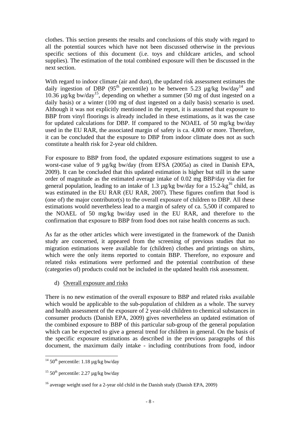clothes. This section presents the results and conclusions of this study with regard to all the potential sources which have not been discussed otherwise in the previous specific sections of this document (i.e. toys and childcare articles, and school supplies). The estimation of the total combined exposure will then be discussed in the next section.

With regard to indoor climate (air and dust), the updated risk assessment estimates the daily ingestion of DBP (95<sup>th</sup> percentile) to be between 5.23  $\mu$ g/kg bw/day<sup>14</sup> and 10.36  $\mu$ g/kg bw/day<sup>15</sup>, depending on whether a summer (50 mg of dust ingested on a daily basis) or a winter (100 mg of dust ingested on a daily basis) scenario is used. Although it was not explicitly mentioned in the report, it is assumed that exposure to BBP from vinyl floorings is already included in these estimations, as it was the case for updated calculations for DBP. If compared to the NOAEL of 50 mg/kg bw/day used in the EU RAR, the associated margin of safety is ca. 4,800 or more. Therefore, it can be concluded that the exposure to DBP from indoor climate does not as such constitute a health risk for 2-year old children.

For exposure to BBP from food, the updated exposure estimations suggest to use a worst-case value of 9 µg/kg bw/day (from EFSA (2005a) as cited in Danish EPA, 2009). It can be concluded that this updated estimation is higher but still in the same order of magnitude as the estimated average intake of 0.02 mg BBP/day via diet for general population, leading to an intake of 1.3  $\mu$ g/kg bw/day for a 15.2-kg<sup>16</sup> child, as was estimated in the EU RAR (EU RAR, 2007). These figures confirm that food is (one of) the major contributor(s) to the overall exposure of children to DBP. All these estimations would nevertheless lead to a margin of safety of ca. 5,500 if compared to the NOAEL of 50 mg/kg bw/day used in the EU RAR, and therefore to the confirmation that exposure to BBP from food does not raise health concerns as such.

As far as the other articles which were investigated in the framework of the Danish study are concerned, it appeared from the screening of previous studies that no migration estimations were available for (children) clothes and printings on shirts, which were the only items reported to contain BBP. Therefore, no exposure and related risks estimations were performed and the potential contribution of these (categories of) products could not be included in the updated health risk assessment.

d) Overall exposure and risks

There is no new estimation of the overall exposure to BBP and related risks available which would be applicable to the sub-population of children as a whole. The survey and health assessment of the exposure of 2 year-old children to chemical substances in consumer products (Danish EPA, 2009) gives nevertheless an updated estimation of the combined exposure to BBP of this particular sub-group of the general population which can be expected to give a general trend for children in general. On the basis of the specific exposure estimations as described in the previous paragraphs of this document, the maximum daily intake - including contributions from food, indoor

 $\overline{a}$ 

<sup>&</sup>lt;sup>14</sup> 50<sup>th</sup> percentile: 1.18  $\mu$ g/kg bw/day

<sup>&</sup>lt;sup>15</sup> 50<sup>th</sup> percentile: 2.27  $\mu$ g/kg bw/day

<sup>&</sup>lt;sup>16</sup> average weight used for a 2-year old child in the Danish study (Danish EPA, 2009)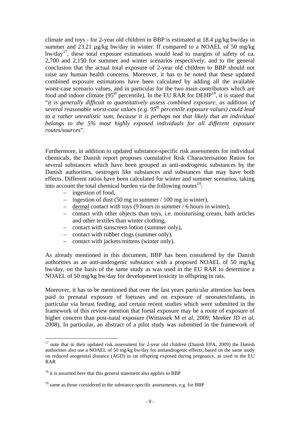climate and toys - for 2-year old children in BBP is estimated at 18.4 µg/kg bw/day in summer and 23.21 µg/kg bw/day in winter. If compared to a NOAEL of 50 mg/kg bw/day17, these total exposure estimations would lead to margins of safety of ca. 2,700 and 2,150 for summer and winter scenarios respectively, and to the general conclusion that the actual total exposure of 2-year old children to BBP should not raise any human health concerns. Moreover, it has to be noted that these updated combined exposure estimations have been calculated by adding all the available worst-case scenario values, and in particular for the two main contributors which are food and indoor climate  $(95<sup>th</sup>$  percentile). In the EU RAR for DEHP<sup>18</sup>, it is stated that "*it is generally difficult to quantitatively assess combined exposure, as addition of several reasonable worst-case values (e.g. 95th percentile exposure values) could lead to a rather unrealistic sum, because it is perhaps not that likely that an individual belongs to the 5% most highly exposed individuals for all different exposure routes/sources*".

Furthermore, in addition to updated substance-specific risk assessments for individual chemicals, the Danish report proposes cumulative Risk Characterisation Ratios for several substances which have been grouped as anti-androgenic substances by the Danish authorities, oestrogen like substances and substances that may have both effects. Different ratios have been calculated for winter and summer scenarios, taking into account the total chemical burden via the following routes $19$ :

– ingestion of food,

 $\overline{a}$ 

- ingestion of dust (50 mg in summer / 100 mg in winter),
- dermal contact with toys (9 hours in summer / 6 hours in winter),
- contact with other objects than toys, i.e. moisturising cream, bath articles and other textiles than winter clothing,
- contact with sunscreen lotion (summer only),
- contact with rubber clogs (summer only),
- contact with jackets/mittens (winter only).

As already mentioned in this document, BBP has been considered by the Danish authorities as an anti-androgenic substance with a proposed NOAEL of 50 mg/kg bw/day, on the basis of the same study as was used in the EU RAR to determine a NOAEL of 50 mg/kg bw/day for development toxicity in offspring in rats.

Moreover, it has to be mentioned that over the last years particular attention has been paid to prenatal exposure of foetuses and on exposure of neonates/infants, in particular via breast feeding, and certain recent studies which were submitted in the framework of this review mention that foetal exposure may be a route of exposure of higher concern than post-natal exposure (Wittassek M *et al*, 2009; Meeker JD *et al*, 2008). In particular, an abstract of a pilot study was submitted in the framework of

 $17$  note that in their updated risk assessment for 2-year old children (Danish EPA, 2009) the Danish authorities also use a NOAEL of 50 mg/kg bw/day for antiandrogenic effects, based on the same study on reduced anogenital distance (AGD) in rat offspring exposed during pregnancy, as used in the EU RAR

 $18$  it is assumed here that this general statement also applies to BBP

 $19$  same as those considered in the substance specific assessments, e.g. for BBP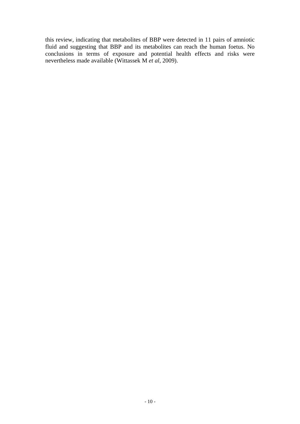this review, indicating that metabolites of BBP were detected in 11 pairs of amniotic fluid and suggesting that BBP and its metabolites can reach the human foetus. No conclusions in terms of exposure and potential health effects and risks were nevertheless made available (Wittassek M *et al*, 2009).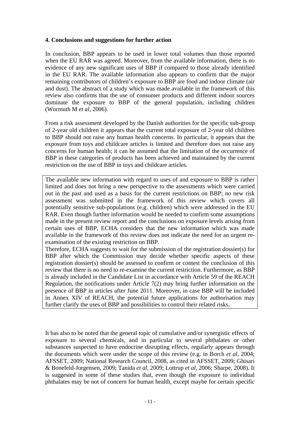## **4. Conclusions and suggestions for further action**

In conclusion, BBP appears to be used in lower total volumes than those reported when the EU RAR was agreed. Moreover, from the available information, there is no evidence of any new significant uses of BBP if compared to those already identified in the EU RAR. The available information also appears to confirm that the major remaining contributors of children's exposure to BBP are food and indoor climate (air and dust). The abstract of a study which was made available in the framework of this review also confirms that the use of consumer products and different indoor sources dominate the exposure to BBP of the general population, including children (Wormuth M *et al*, 2006).

From a risk assessment developed by the Danish authorities for the specific sub-group of 2-year old children it appears that the current total exposure of 2-year old children to BBP should not raise any human health concerns. In particular, it appears that the exposure from toys and childcare articles is limited and therefore does not raise any concerns for human health; it can be assumed that the limitation of the occurrence of BBP in these categories of products has been achieved and maintained by the current restriction on the use of BBP in toys and childcare articles.

The available new information with regard to uses of and exposure to BBP is rather limited and does not bring a new perspective to the assessments which were carried out in the past and used as a basis for the current restrictions on BBP; no new risk assessment was submitted in the framework of this review which covers all potentially sensitive sub-populations (e.g. children) which were addressed in the EU RAR. Even though further information would be needed to confirm some assumptions made in the present review report and the conclusions on exposure levels arising from certain uses of BBP, ECHA considers that the new information which was made available in the framework of this review does not indicate the need for an urgent reexamination of the existing restriction on BBP.

Therefore, ECHA suggests to wait for the submission of the registration dossier(s) for BBP after which the Commission may decide whether specific aspects of these registration dossier(s) should be assessed to confirm or contest the conclusion of this review that there is no need to re-examine the current restriction. Furthermore, as BBP is already included in the Candidate List in accordance with Article 59 of the REACH Regulation, the notifications under Article 7(2) may bring further information on the presence of BBP in articles after June 2011. Moreover, in case BBP will be included in Annex XIV of REACH, the potential future applications for authorisation may further clarify the uses of BBP and possibilities to control their related risks.

It has also to be noted that the general topic of cumulative and/or synergistic effects of exposure to several chemicals, and in particular to several phthalates or other substances suspected to have endocrine disrupting effects, regularly appears through the documents which were under the scope of this review (e.g. in Borch *et al*, 2004; AFSSET, 2009; National Research Council, 2008, as cited in AFSSET, 2009; Ghisari & Bonefeld-Jorgensen, 2009; Tanida *et al*, 2009; Lottrup *et al*, 2006; Sharpe, 2008). It is suggested in some of these studies that, even though the exposure to individual phthalates may be not of concern for human health, except maybe for certain specific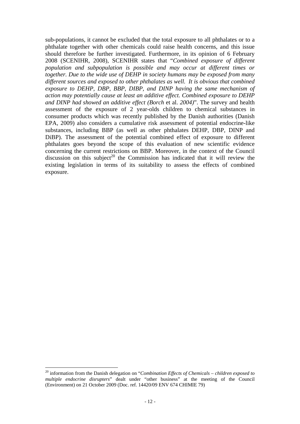sub-populations, it cannot be excluded that the total exposure to all phthalates or to a phthalate together with other chemicals could raise health concerns, and this issue should therefore be further investigated. Furthermore, in its opinion of 6 February 2008 (SCENIHR, 2008), SCENIHR states that "*Combined exposure of different population and subpopulation is possible and may occur at different times or together. Due to the wide use of DEHP in society humans may be exposed from many different sources and exposed to other phthalates as well. It is obvious that combined exposure to DEHP, DBP, BBP, DIBP, and DINP having the same mechanism of action may potentially cause at least an additive effect. Combined exposure to DEHP and DINP had showed an additive effect (Borch* et al. *2004)*". The survey and health assessment of the exposure of 2 year-olds children to chemical substances in consumer products which was recently published by the Danish authorities (Danish EPA, 2009) also considers a cumulative risk assessment of potential endocrine-like substances, including BBP (as well as other phthalates DEHP, DBP, DINP and DiBP). The assessment of the potential combined effect of exposure to different phthalates goes beyond the scope of this evaluation of new scientific evidence concerning the current restrictions on BBP. Moreover, in the context of the Council discussion on this subject<sup>20</sup> the Commission has indicated that it will review the existing legislation in terms of its suitability to assess the effects of combined exposure.

 $\overline{a}$ 

<sup>20</sup> information from the Danish delegation on "*Combination Effects of Chemicals – children exposed to multiple endocrine disrupters*" dealt under "other business" at the meeting of the Council (Environment) on 21 October 2009 (Doc. ref. 14420/09 ENV 674 CHIMIE 79)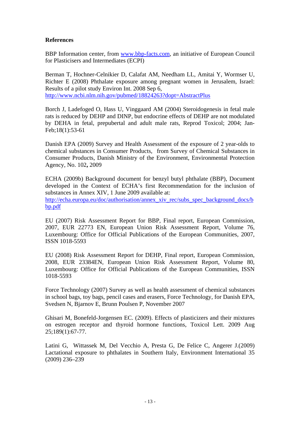## **References**

BBP Information center, from www.bbp-facts.com, an initiative of European Council for Plasticisers and Intermediates (ECPI)

Berman T, Hochner-Celnikier D, Calafat AM, Needham LL, Amitai Y, Wormser U, Richter E (2008) Phthalate exposure among pregnant women in Jerusalem, Israel: Results of a pilot study Environ Int. 2008 Sep 6, http://www.ncbi.nlm.nih.gov/pubmed/18824263?dopt=AbstractPlus

Borch J, Ladefoged O, Hass U, Vinggaard AM (2004) Steroidogenesis in fetal male rats is reduced by DEHP and DINP, but endocrine effects of DEHP are not modulated by DEHA in fetal, prepubertal and adult male rats, Reprod Toxicol; 2004; Jan-Feb;18(1):53-61

Danish EPA (2009) Survey and Health Assessment of the exposure of 2 year-olds to chemical substances in Consumer Products, from Survey of Chemical Substances in Consumer Products, Danish Ministry of the Environment, Environmental Protection Agency, No. 102**,** 2009

ECHA (2009b) Background document for benzyl butyl phthalate (BBP), Document developed in the Context of ECHA's first Recommendation for the inclusion of substances in Annex XIV, 1 June 2009 available at: http://echa.europa.eu/doc/authorisation/annex\_xiv\_rec/subs\_spec\_background\_docs/b bp.pdf

EU (2007) Risk Assessment Report for BBP, Final report, European Commission, 2007, EUR 22773 EN, European Union Risk Assessment Report, Volume 76, Luxembourg: Office for Official Publications of the European Communities, 2007, ISSN 1018-5593

EU (2008) Risk Assessment Report for DEHP, Final report, European Commission, 2008, EUR 23384EN, European Union Risk Assessment Report, Volume 80, Luxembourg: Office for Official Publications of the European Communities, ISSN 1018-5593

Force Technology (2007) Survey as well as health assessment of chemical substances in school bags, toy bags, pencil cases and erasers, Force Technology, for Danish EPA, Svedsen N, Bjarnov E, Brunn Poulsen P, November 2007

Ghisari M, Bonefeld-Jorgensen EC. (2009). Effects of plasticizers and their mixtures on estrogen receptor and thyroid hormone functions, Toxicol Lett. 2009 Aug 25;189(1):67-77.

Latini G, Wittassek M, Del Vecchio A, Presta G, De Felice C, Angerer J.(2009) Lactational exposure to phthalates in Southern Italy, Environment International 35 (2009) 236–239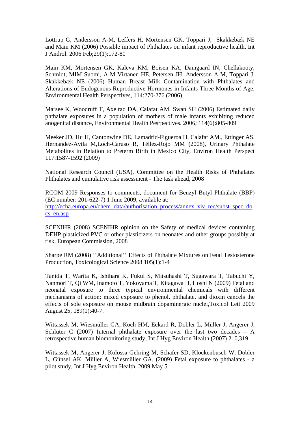Lottrup G, Andersson A-M, Leffers H, Mortensen GK, Toppari J, Skakkebæk NE and Main KM (2006) Possible impact of Phthalates on infant reproductive health, Int J Androl. 2006 Feb;29(1):172-80

Main KM, Mortensen GK, Kaleva KM, Boisen KA, Damgaard IN, Chellakooty, Schmidt, MIM Suomi, A-M Virtanen HE, Petersen JH, Andersson A-M, Toppari J, Skakkebæk NE (2006) Human Breast Milk Contamination with Phthalates and Alterations of Endogenous Reproductive Hormones in Infants Three Months of Age, Environmental Health Perspectives, 114:270-276 (2006)

Marsee K, Woodruff T, Axelrad DA, Calafat AM, Swan SH (2006) Estimated daily phthalate exposures in a population of mothers of male infants exhibiting reduced anogenital distance, Environmental Health Pesrpectives. 2006; 114(6):805-809

Meeker JD, Hu H, Cantonwine DE, Lamadrid-Figueroa H, Calafat AM., Ettinger AS, Hernandez-Avila M,Loch-Caruso R, Téllez-Rojo MM (2008), Urinary Phthalate Metabolites in Relation to Preterm Birth in Mexico City, Environ Health Perspect 117:1587-1592 (2009)

National Research Council (USA), Committee on the Health Risks of Phthalates Phthalates and cumulative risk assessment - The task ahead, 2008

RCOM 2009 Responses to comments, document for Benzyl Butyl Phthalate (BBP) (EC number: 201-622-7) 1 June 2009, available at: http://echa.europa.eu/chem\_data/authorisation\_process/annex\_xiv\_rec/subst\_spec\_do cs\_en.asp

SCENIHR (2008) SCENIHR opinion on the Safety of medical devices containing DEHP-plasticized PVC or other plasticizers on neonates and other groups possibly at risk, European Commission, 2008

Sharpe RM (2008) ''Additional'' Effects of Phthalate Mixtures on Fetal Testosterone Production, Toxicological Science 2008 105(1):1-4

Tanida T, Warita K, Ishihara K, Fukui S, Mitsuhashi T, Sugawara T, Tabuchi Y, Nanmori T, Qi WM, Inamoto T, Yokoyama T, Kitagawa H, Hoshi N (2009) Fetal and neonatal exposure to three typical environmental chemicals with different mechanisms of action: mixed exposure to phenol, phthalate, and dioxin cancels the effects of sole exposure on mouse midbrain dopaminergic nuclei,Toxicol Lett 2009 August 25; 189(1):40-7.

Wittassek M, Wiesmüller GA, Koch HM, Eckard R, Dobler L, Müller J, Angerer J, Schlüter C (2007) Internal phthalate exposure over the last two decades – A retrospective human biomonitoring study, Int J Hyg Environ Health (2007) 210,319

Wittassek M, Angerer J, Kolossa-Gehring M, Schäfer SD, Klockenbusch W, Dobler L, Günsel AK, Müller A, Wiesmüller GA. (2009) Fetal exposure to phthalates - a pilot study, Int J Hyg Environ Health. 2009 May 5